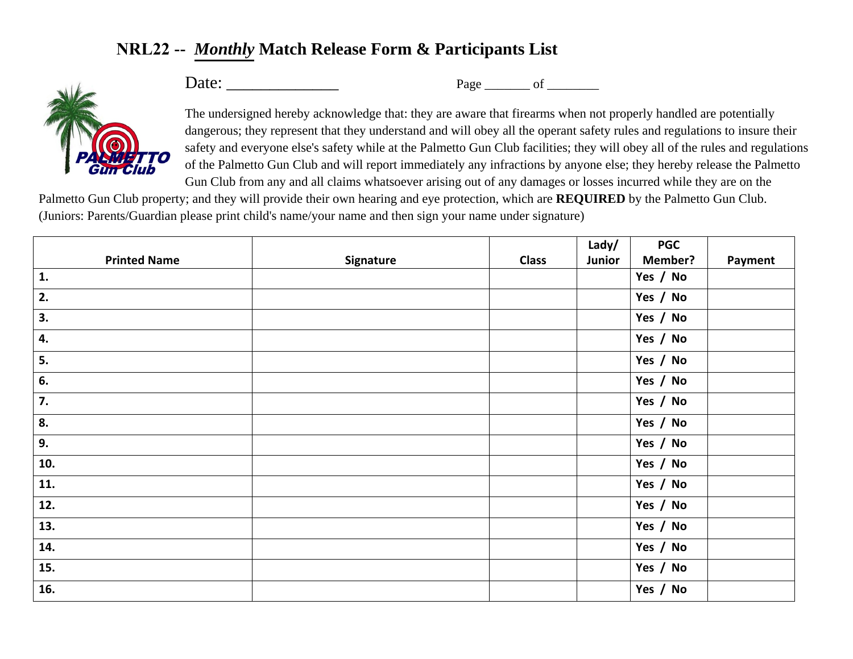## **NRL22 --** *Monthly* **Match Release Form & Participants List**



Date: \_\_\_\_\_\_\_\_\_\_\_\_\_ Page \_\_\_\_\_\_\_ of \_\_\_\_\_\_\_\_

The undersigned hereby acknowledge that: they are aware that firearms when not properly handled are potentially dangerous; they represent that they understand and will obey all the operant safety rules and regulations to insure their safety and everyone else's safety while at the Palmetto Gun Club facilities; they will obey all of the rules and regulations of the Palmetto Gun Club and will report immediately any infractions by anyone else; they hereby release the Palmetto Gun Club from any and all claims whatsoever arising out of any damages or losses incurred while they are on the

Palmetto Gun Club property; and they will provide their own hearing and eye protection, which are **REQUIRED** by the Palmetto Gun Club. (Juniors: Parents/Guardian please print child's name/your name and then sign your name under signature)

|                     |           |              | Lady/  | <b>PGC</b> |         |
|---------------------|-----------|--------------|--------|------------|---------|
| <b>Printed Name</b> | Signature | <b>Class</b> | Junior | Member?    | Payment |
| 1.                  |           |              |        | Yes / No   |         |
| 2.                  |           |              |        | Yes / No   |         |
| 3.                  |           |              |        | Yes / No   |         |
| 4.                  |           |              |        | Yes / No   |         |
| 5.                  |           |              |        | Yes / No   |         |
| 6.                  |           |              |        | Yes / No   |         |
| 7.                  |           |              |        | Yes / No   |         |
| 8.                  |           |              |        | Yes / No   |         |
| 9.                  |           |              |        | Yes / No   |         |
| 10.                 |           |              |        | Yes / No   |         |
| 11.                 |           |              |        | Yes / No   |         |
| 12.                 |           |              |        | Yes / No   |         |
| 13.                 |           |              |        | Yes / No   |         |
| 14.                 |           |              |        | Yes / No   |         |
| 15.                 |           |              |        | Yes / No   |         |
| 16.                 |           |              |        | Yes / No   |         |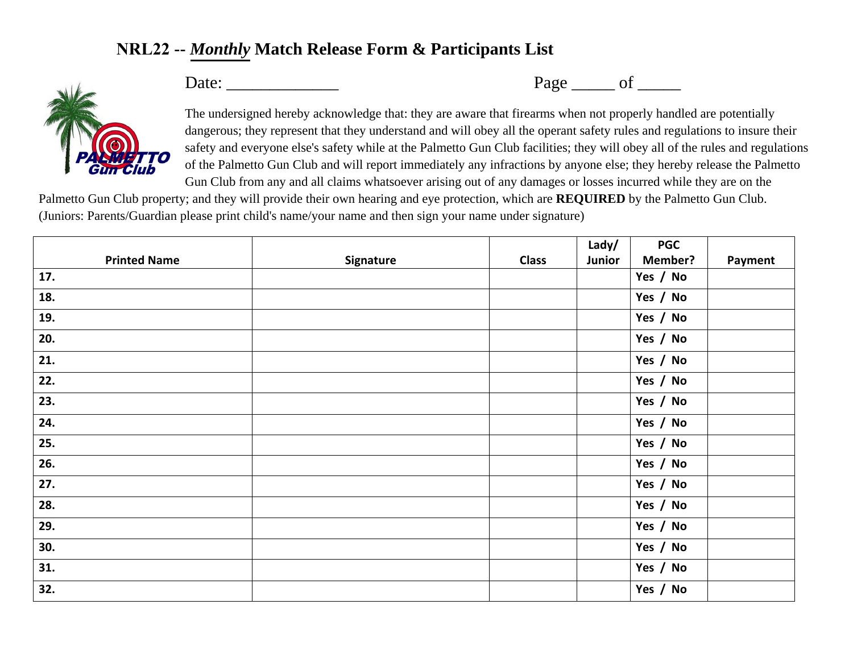## **NRL22 --** *Monthly* **Match Release Form & Participants List**



Date: \_\_\_\_\_\_\_\_\_\_\_\_\_ Page \_\_\_\_\_ of \_\_\_\_\_

The undersigned hereby acknowledge that: they are aware that firearms when not properly handled are potentially dangerous; they represent that they understand and will obey all the operant safety rules and regulations to insure their safety and everyone else's safety while at the Palmetto Gun Club facilities; they will obey all of the rules and regulations of the Palmetto Gun Club and will report immediately any infractions by anyone else; they hereby release the Palmetto Gun Club from any and all claims whatsoever arising out of any damages or losses incurred while they are on the

Palmetto Gun Club property; and they will provide their own hearing and eye protection, which are **REQUIRED** by the Palmetto Gun Club. (Juniors: Parents/Guardian please print child's name/your name and then sign your name under signature)

|                     |           |              | Lady/  | <b>PGC</b>     |         |
|---------------------|-----------|--------------|--------|----------------|---------|
| <b>Printed Name</b> | Signature | <b>Class</b> | Junior | <b>Member?</b> | Payment |
| 17.                 |           |              |        | Yes / No       |         |
| 18.                 |           |              |        | Yes / No       |         |
| 19.                 |           |              |        | Yes / No       |         |
| 20.                 |           |              |        | Yes / No       |         |
| 21.                 |           |              |        | Yes / No       |         |
| 22.                 |           |              |        | Yes / No       |         |
| 23.                 |           |              |        | Yes / No       |         |
| 24.                 |           |              |        | Yes / No       |         |
| 25.                 |           |              |        | Yes / No       |         |
| 26.                 |           |              |        | Yes / No       |         |
| 27.                 |           |              |        | Yes / No       |         |
| 28.                 |           |              |        | Yes / No       |         |
| 29.                 |           |              |        | Yes / No       |         |
| 30.                 |           |              |        | Yes / No       |         |
| 31.                 |           |              |        | Yes / No       |         |
| 32.                 |           |              |        | Yes / No       |         |